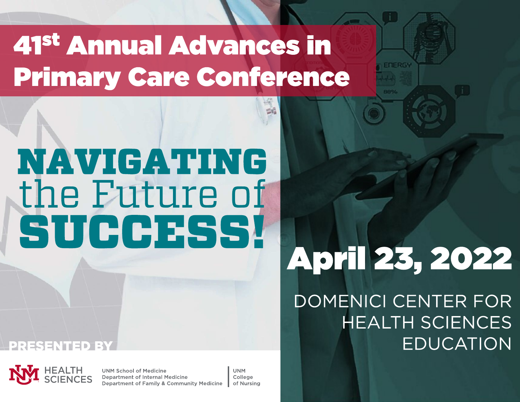# 41 st Annual Advances in **Primary Care Conference**

# NAVIGATING the Future of SUCCESS!



UNM School of Medicine Department of Internal Medicine Department of Family & Community Medicine

UNM College of Nursing

# April 23, 20 22

DOMENICI CENTER FOR HEALTH SCIENCES PRESENTED BY EDUCATION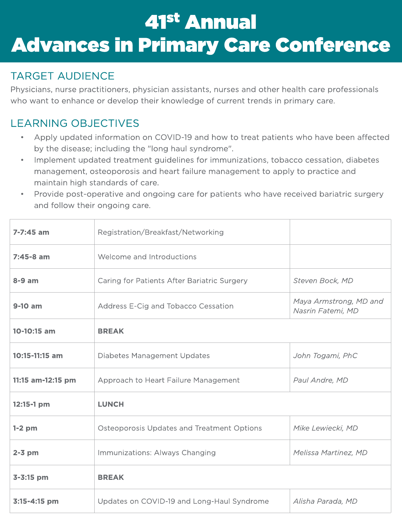# 41<sup>st</sup> Annual **Advances in Primary Care Conference**

# TARGET AUDIENCE

Physicians, nurse practitioners, physician assistants, nurses and other health care professionals who want to enhance or develop their knowledge of current trends in primary care.

# LEARNING OBJECTIVES

- Apply updated information on COVID-19 and how to treat patients who have been affected by the disease; including the "long haul syndrome".
- Implement updated treatment guidelines for immunizations, tobacco cessation, diabetes management, osteoporosis and heart failure management to apply to practice and maintain high standards of care.
- Provide post-operative and ongoing care for patients who have received bariatric surgery and follow their ongoing care.

| 7-7:45 am         | Registration/Breakfast/Networking           |                                             |  |  |  |
|-------------------|---------------------------------------------|---------------------------------------------|--|--|--|
| $7:45-8$ am       | Welcome and Introductions                   |                                             |  |  |  |
| $8-9$ am          | Caring for Patients After Bariatric Surgery | Steven Bock, MD                             |  |  |  |
| 9-10 am           | Address E-Cig and Tobacco Cessation         | Maya Armstrong, MD and<br>Nasrin Fatemi, MD |  |  |  |
| 10-10:15 am       | <b>BREAK</b>                                |                                             |  |  |  |
| 10:15-11:15 am    | Diabetes Management Updates                 | John Togami, PhC                            |  |  |  |
| 11:15 am-12:15 pm | Approach to Heart Failure Management        | Paul Andre, MD                              |  |  |  |
| 12:15-1 pm        | <b>LUNCH</b>                                |                                             |  |  |  |
| $1-2$ pm          | Osteoporosis Updates and Treatment Options  | Mike Lewiecki, MD                           |  |  |  |
| $2-3$ pm          | Immunizations: Always Changing              | Melissa Martinez, MD                        |  |  |  |
| 3-3:15 pm         | <b>BREAK</b>                                |                                             |  |  |  |
| 3:15-4:15 pm      | Updates on COVID-19 and Long-Haul Syndrome  | Alisha Parada, MD                           |  |  |  |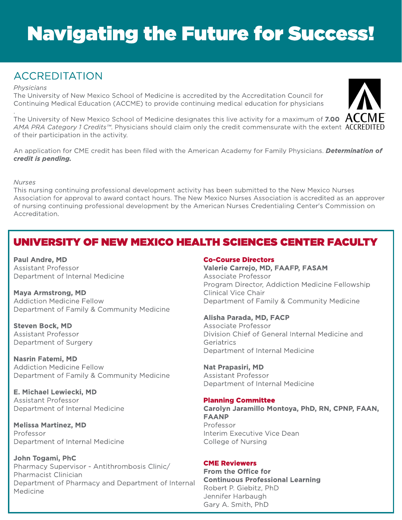# **Navigating the Future for Success!**

# ACCREDITATION

#### **Physicians**

The University of New Mexico School of Medicine is accredited by the Accreditation Council for Continuing Medical Education (ACCME) to provide continuing medical education for physicians

. The University of New Mexico School of Medicine designates this live activity for a maximum of 7.00  $\,$  ACC  $\,$ **AMA PRA Category 1Credits?**. Physicians should claim only the credit commensurate with the extent of their participation in the activity.

An application for CME credit has been filed with the American Academy for Family Physicians. **Determination of credit is pending.**

#### **Nurses**

This nursing continuing professional development activity has been submitted to the New Mexico Nurses Association for approval to award contact hours. The New Mexico Nurses Association is accredited as an approver of nursing continuing professional development by the American Nurses Credentialing Center's Commission on Accreditation.

# UNIVERSITY OF NEW MEXICO HEALTH SCIENCES CENTER FACULTY

Paul Andre, MD Assistant Professor Department of Internal Medicine

Maya Armstrong, MD Addiction Medicine Fellow Department of Family & Community Medicine

Steven Bock, MD Assistant Professor Department of Surgery

Nasrin Fatemi, MD Addiction Medicine Fellow Department of Family & Community Medicine

E. Michael Lewiecki, MD Assistant Professor Department of Internal Medicine

Melissa Martinez, MD Professor Department of Internal Medicine

John Togami, PhC Pharmacy Supervisor - Antithrombosis Clinic/ Pharmacist Clinician Department of Pharmacy and Department of Internal Medicine

#### Co-Course Directors

Valerie Carrejo, MD, FAAFP, FASAM Associate Professor Program Director, Addiction Medicine Fellowship Clinical Vice Chair Department of Family & Community Medicine

#### Alisha Parada, MD, FACP

Associate Professor Division Chief of General Internal Medicine and **Geriatrics** Department of Internal Medicine

#### Nat Prapasiri, MD

Assistant Professor Department of Internal Medicine

#### **Planning Committee**

Carolyn Jaramillo Montoya, PhD, RN, CPNP, FAAN, FAANP Professor Interim Executive Vice Dean College of Nursing

#### CME Reviewers

From the Office for Continuous Professional Learning Robert P. Giebitz, PhD Jennifer Harbaugh Gary A. Smith, PhD